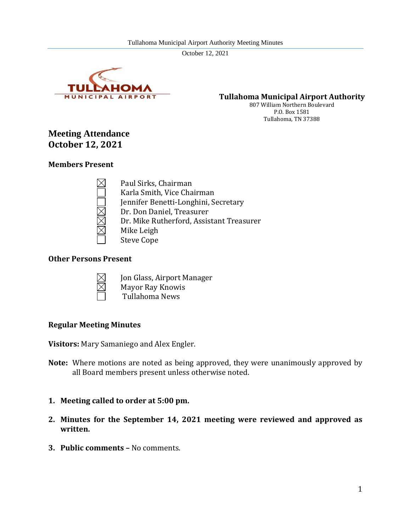

**Tullahoma Municipal Airport Authority**

807 William Northern Boulevard P.O. Box 1581 Tullahoma, TN 37388

# **Meeting Attendance October 12, 2021**

#### **Members Present**

Paul Sirks, Chairman Karla Smith, Vice Chairman Jennifer Benetti-Longhini, Secretary Dr. Don Daniel, Treasurer Dr. Mike Rutherford, Assistant Treasurer Mike Leigh Steve Cope

#### **Other Persons Present**



- Jon Glass, Airport Manager Mayor Ray Knowis
- Tullahoma News

## **Regular Meeting Minutes**

**Visitors:** Mary Samaniego and Alex Engler.

- **Note:** Where motions are noted as being approved, they were unanimously approved by all Board members present unless otherwise noted.
- **1. Meeting called to order at 5:00 pm.**
- **2. Minutes for the September 14, 2021 meeting were reviewed and approved as written.**
- **3. Public comments –** No comments.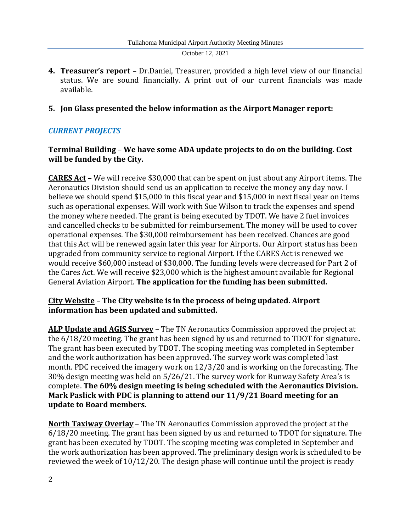**4. Treasurer's report** – Dr.Daniel, Treasurer, provided a high level view of our financial status. We are sound financially. A print out of our current financials was made available.

## **5. Jon Glass presented the below information as the Airport Manager report:**

# *CURRENT PROJECTS*

## **Terminal Building** – **We have some ADA update projects to do on the building. Cost will be funded by the City.**

**CARES Act –** We will receive \$30,000 that can be spent on just about any Airport items. The Aeronautics Division should send us an application to receive the money any day now. I believe we should spend \$15,000 in this fiscal year and \$15,000 in next fiscal year on items such as operational expenses. Will work with Sue Wilson to track the expenses and spend the money where needed. The grant is being executed by TDOT. We have 2 fuel invoices and cancelled checks to be submitted for reimbursement. The money will be used to cover operational expenses. The \$30,000 reimbursement has been received. Chances are good that this Act will be renewed again later this year for Airports. Our Airport status has been upgraded from community service to regional Airport. If the CARES Act is renewed we would receive \$60,000 instead of \$30,000. The funding levels were decreased for Part 2 of the Cares Act. We will receive \$23,000 which is the highest amount available for Regional General Aviation Airport. **The application for the funding has been submitted.**

## **City Website** – **The City website is in the process of being updated. Airport information has been updated and submitted.**

**ALP Update and AGIS Survey** – The TN Aeronautics Commission approved the project at the 6/18/20 meeting. The grant has been signed by us and returned to TDOT for signature**.** The grant has been executed by TDOT. The scoping meeting was completed in September and the work authorization has been approved**.** The survey work was completed last month. PDC received the imagery work on 12/3/20 and is working on the forecasting. The 30% design meeting was held on 5/26/21. The survey work for Runway Safety Area's is complete. **The 60% design meeting is being scheduled with the Aeronautics Division. Mark Paslick with PDC is planning to attend our 11/9/21 Board meeting for an update to Board members.**

**North Taxiway Overlay** – The TN Aeronautics Commission approved the project at the 6/18/20 meeting. The grant has been signed by us and returned to TDOT for signature. The grant has been executed by TDOT. The scoping meeting was completed in September and the work authorization has been approved. The preliminary design work is scheduled to be reviewed the week of 10/12/20. The design phase will continue until the project is ready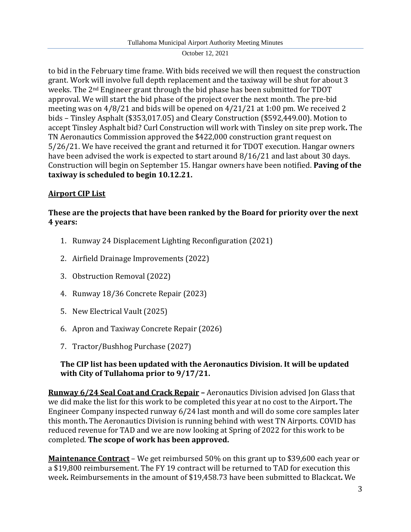to bid in the February time frame. With bids received we will then request the construction grant. Work will involve full depth replacement and the taxiway will be shut for about 3 weeks. The 2nd Engineer grant through the bid phase has been submitted for TDOT approval. We will start the bid phase of the project over the next month. The pre-bid meeting was on 4/8/21 and bids will be opened on 4/21/21 at 1:00 pm. We received 2 bids – Tinsley Asphalt (\$353,017.05) and Cleary Construction (\$592,449.00). Motion to accept Tinsley Asphalt bid? Curl Construction will work with Tinsley on site prep work**.** The TN Aeronautics Commission approved the \$422,000 construction grant request on 5/26/21. We have received the grant and returned it for TDOT execution. Hangar owners have been advised the work is expected to start around 8/16/21 and last about 30 days. Construction will begin on September 15. Hangar owners have been notified. **Paving of the taxiway is scheduled to begin 10.12.21.**

# **Airport CIP List**

# **These are the projects that have been ranked by the Board for priority over the next 4 years:**

- 1. Runway 24 Displacement Lighting Reconfiguration (2021)
- 2. Airfield Drainage Improvements (2022)
- 3. Obstruction Removal (2022)
- 4. Runway 18/36 Concrete Repair (2023)
- 5. New Electrical Vault (2025)
- 6. Apron and Taxiway Concrete Repair (2026)
- 7. Tractor/Bushhog Purchase (2027)

# **The CIP list has been updated with the Aeronautics Division. It will be updated with City of Tullahoma prior to 9/17/21.**

**Runway 6/24 Seal Coat and Crack Repair –** Aeronautics Division advised Jon Glass that we did make the list for this work to be completed this year at no cost to the Airport**.** The Engineer Company inspected runway 6/24 last month and will do some core samples later this month**.** The Aeronautics Division is running behind with west TN Airports. COVID has reduced revenue for TAD and we are now looking at Spring of 2022 for this work to be completed. **The scope of work has been approved.**

**Maintenance Contract** – We get reimbursed 50% on this grant up to \$39,600 each year or a \$19,800 reimbursement. The FY 19 contract will be returned to TAD for execution this week**.** Reimbursements in the amount of \$19,458.73 have been submitted to Blackcat**.** We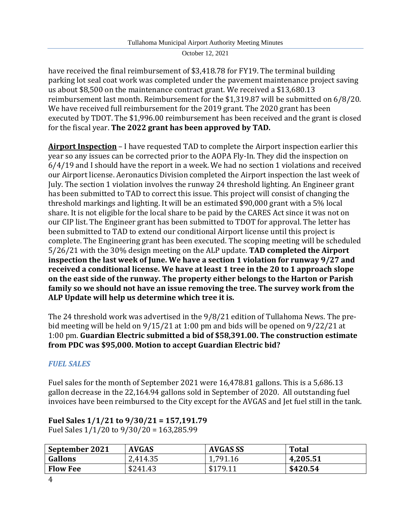have received the final reimbursement of \$3,418.78 for FY19. The terminal building parking lot seal coat work was completed under the pavement maintenance project saving us about \$8,500 on the maintenance contract grant. We received a \$13,680.13 reimbursement last month. Reimbursement for the \$1,319.87 will be submitted on 6/8/20. We have received full reimbursement for the 2019 grant. The 2020 grant has been executed by TDOT. The \$1,996.00 reimbursement has been received and the grant is closed for the fiscal year. **The 2022 grant has been approved by TAD.**

**Airport Inspection** – I have requested TAD to complete the Airport inspection earlier this year so any issues can be corrected prior to the AOPA Fly-In. They did the inspection on 6/4/19 and I should have the report in a week. We had no section 1 violations and received our Airport license. Aeronautics Division completed the Airport inspection the last week of July. The section 1 violation involves the runway 24 threshold lighting. An Engineer grant has been submitted to TAD to correct this issue. This project will consist of changing the threshold markings and lighting. It will be an estimated \$90,000 grant with a 5% local share. It is not eligible for the local share to be paid by the CARES Act since it was not on our CIP list. The Engineer grant has been submitted to TDOT for approval. The letter has been submitted to TAD to extend our conditional Airport license until this project is complete. The Engineering grant has been executed. The scoping meeting will be scheduled 5/26/21 with the 30% design meeting on the ALP update. **TAD completed the Airport inspection the last week of June. We have a section 1 violation for runway 9/27 and received a conditional license. We have at least 1 tree in the 20 to 1 approach slope on the east side of the runway. The property either belongs to the Harton or Parish family so we should not have an issue removing the tree. The survey work from the ALP Update will help us determine which tree it is.**

The 24 threshold work was advertised in the 9/8/21 edition of Tullahoma News. The prebid meeting will be held on 9/15/21 at 1:00 pm and bids will be opened on 9/22/21 at 1:00 pm. **Guardian Electric submitted a bid of \$58,391.00. The construction estimate from PDC was \$95,000. Motion to accept Guardian Electric bid?**

# *FUEL SALES*

Fuel sales for the month of September 2021 were 16,478.81 gallons. This is a 5,686.13 gallon decrease in the 22,164.94 gallons sold in September of 2020. All outstanding fuel invoices have been reimbursed to the City except for the AVGAS and Jet fuel still in the tank.

# **Fuel Sales 1/1/21 to 9/30/21 = 157,191.79**

Fuel Sales 1/1/20 to 9/30/20 = 163,285.99

| September 2021  | <b>AVGAS</b> | <b>AVGAS SS</b> | <b>Total</b> |
|-----------------|--------------|-----------------|--------------|
| <b>Gallons</b>  | 2,414.35     | 1,791.16        | 4,205.51     |
| <b>Flow Fee</b> | \$241.43     | \$179.11        | \$420.54     |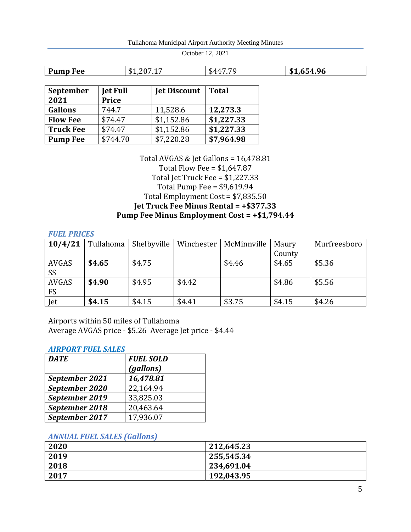| Tullahoma Municipal Airport Authority Meeting Minutes |  |  |  |
|-------------------------------------------------------|--|--|--|
|                                                       |  |  |  |

| 96<br><b>Pump Fee</b><br>$\mathbb{R}$<br>æ<br>,,,<br>. .<br>.D.<br>.D<br>.<br>- |
|---------------------------------------------------------------------------------|
|---------------------------------------------------------------------------------|

| September<br>2021 | <b>Jet Full</b><br><b>Price</b> | <b>Jet Discount</b> | <b>Total</b> |
|-------------------|---------------------------------|---------------------|--------------|
| <b>Gallons</b>    | 744.7                           | 11,528.6            | 12,273.3     |
| <b>Flow Fee</b>   | \$74.47                         | \$1,152.86          | \$1,227.33   |
| <b>Truck Fee</b>  | \$74.47                         | \$1,152.86          | \$1,227.33   |
| <b>Pump Fee</b>   | \$744.70                        | \$7,220.28          | \$7,964.98   |

Total AVGAS & Jet Gallons = 16,478.81 Total Flow Fee = \$1,647.87 Total Jet Truck Fee = \$1,227.33 Total Pump Fee = \$9,619.94 Total Employment Cost = \$7,835.50 **Jet Truck Fee Minus Rental = +\$377.33 Pump Fee Minus Employment Cost = +\$1,794.44**

*FUEL PRICES*

| 10/4/21                   | Tullahoma | Shelbyville | Winchester | McMinnville | Maury  | Murfreesboro |
|---------------------------|-----------|-------------|------------|-------------|--------|--------------|
|                           |           |             |            |             | County |              |
| AVGAS<br><b>SS</b>        | \$4.65    | \$4.75      |            | \$4.46      | \$4.65 | \$5.36       |
| <b>AVGAS</b><br><b>FS</b> | \$4.90    | \$4.95      | \$4.42     |             | \$4.86 | \$5.56       |
| Jet                       | \$4.15    | \$4.15      | \$4.41     | \$3.75      | \$4.15 | \$4.26       |

Airports within 50 miles of Tullahoma Average AVGAS price - \$5.26 Average Jet price - \$4.44

#### *AIRPORT FUEL SALES*

| <b>DATE</b>    | <b>FUEL SOLD</b> |
|----------------|------------------|
|                | (gallons)        |
| September 2021 | 16,478.81        |
| September 2020 | 22,164.94        |
| September 2019 | 33,825.03        |
| September 2018 | 20,463.64        |
| September 2017 | 17,936.07        |

#### *ANNUAL FUEL SALES (Gallons)*

| 2020 | 212,645.23 |
|------|------------|
| 2019 | 255,545.34 |
| 2018 | 234,691.04 |
| 2017 | 192,043.95 |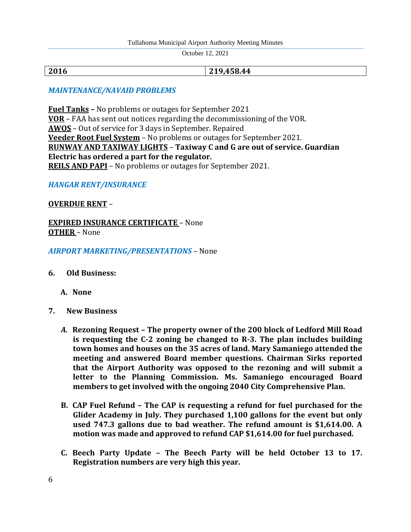#### Tullahoma Municipal Airport Authority Meeting Minutes

October 12, 2021

**2016 219,458.44**

## *MAINTENANCE/NAVAID PROBLEMS*

**Fuel Tanks –** No problems or outages for September 2021 **VOR** – FAA has sent out notices regarding the decommissioning of the VOR. **AWOS** – Out of service for 3 days in September. Repaired **Veeder Root Fuel System** – No problems or outages for September 2021. **RUNWAY AND TAXIWAY LIGHTS** – **Taxiway C and G are out of service. Guardian Electric has ordered a part for the regulator. REILS AND PAPI** – No problems or outages for September 2021.

#### *HANGAR RENT/INSURANCE*

#### **OVERDUE RENT** –

**EXPIRED INSURANCE CERTIFICATE** – None **OTHER** – None

*AIRPORT MARKETING/PRESENTATIONS* – None

**6. Old Business:**

**A. None**

- **7. New Business**
	- *A.* **Rezoning Request – The property owner of the 200 block of Ledford Mill Road is requesting the C-2 zoning be changed to R-3. The plan includes building town homes and houses on the 35 acres of land. Mary Samaniego attended the meeting and answered Board member questions. Chairman Sirks reported that the Airport Authority was opposed to the rezoning and will submit a letter to the Planning Commission. Ms. Samaniego encouraged Board members to get involved with the ongoing 2040 City Comprehensive Plan.**
	- **B. CAP Fuel Refund – The CAP is requesting a refund for fuel purchased for the Glider Academy in July. They purchased 1,100 gallons for the event but only used 747.3 gallons due to bad weather. The refund amount is \$1,614.00. A motion was made and approved to refund CAP \$1,614.00 for fuel purchased.**
	- **C. Beech Party Update – The Beech Party will be held October 13 to 17. Registration numbers are very high this year.**